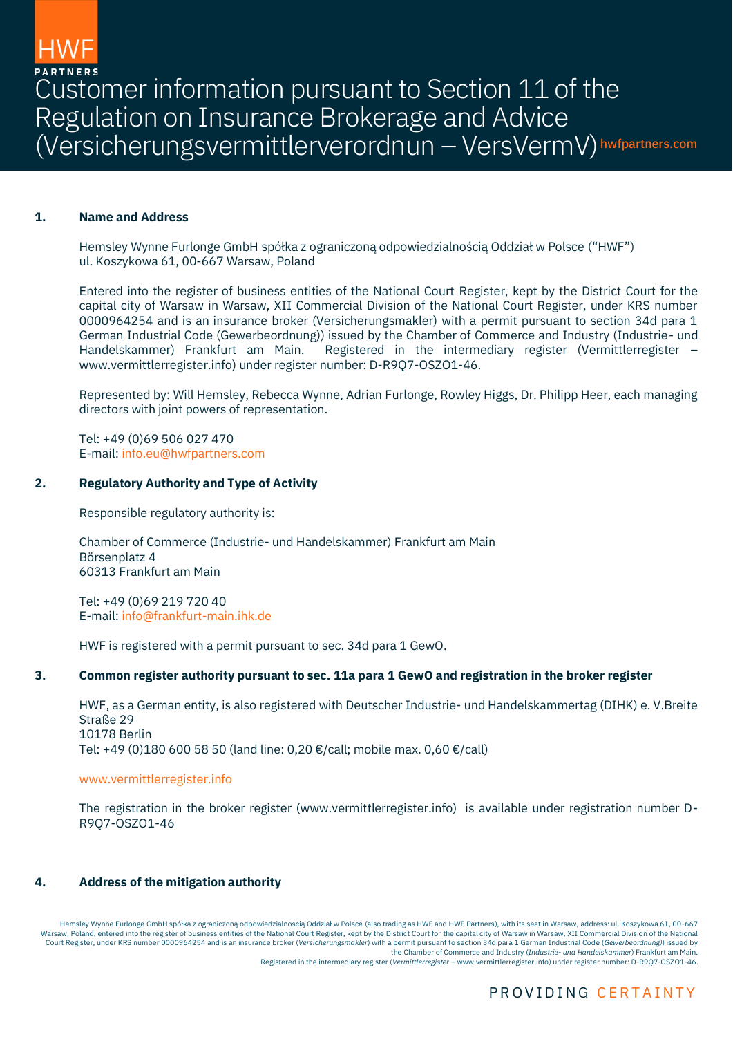

Customer information pursuant to Section 11 of the Regulation on Insurance Brokerage and Advice (Versicherungsvermittlerverordnun – VersVermV) hwfpartners.com

## **1. Name and Address**

Hemsley Wynne Furlonge GmbH spółka z ograniczoną odpowiedzialnością Oddział w Polsce ("HWF") ul. Koszykowa 61, 00-667 Warsaw, Poland

Entered into the register of business entities of the National Court Register, kept by the District Court for the capital city of Warsaw in Warsaw, XII Commercial Division of the National Court Register, under KRS number 0000964254 and is an insurance broker (Versicherungsmakler) with a permit pursuant to section 34d para 1 German Industrial Code (Gewerbeordnung)) issued by the Chamber of Commerce and Industry (Industrie- und Handelskammer) Frankfurt am Main. Registered in the intermediary register (Vermittlerregister – www.vermittlerregister.info) under register number: D-R9Q7-OSZO1-46.

Represented by: Will Hemsley, Rebecca Wynne, Adrian Furlonge, Rowley Higgs, Dr. Philipp Heer, each managing directors with joint powers of representation.

Tel: +49 (0)69 506 027 470 E-mail[: info.eu@hwfpartners.com](mailto:info.eu@hwfpartners.com)

### **2. Regulatory Authority and Type of Activity**

Responsible regulatory authority is:

Chamber of Commerce (Industrie- und Handelskammer) Frankfurt am Main Börsenplatz 4 60313 Frankfurt am Main

Tel: +49 (0)69 219 720 40 E-mail[: info@frankfurt-main.ihk.de](mailto:info@frankfurt-main.ihk.de)

HWF is registered with a permit pursuant to sec. 34d para 1 GewO.

### **3. Common register authority pursuant to sec. 11a para 1 GewO and registration in the broker register**

HWF, as a German entity, is also registered with Deutscher Industrie- und Handelskammertag (DIHK) e. V.Breite Straße 29 10178 Berlin Tel: +49 (0)180 600 58 50 (land line: 0,20 €/call; mobile max. 0,60 €/call)

#### [www.vermittlerregister.info](http://www.vermittlerregister.info/)

The registration in the broker register (www.vermittlerregister.info) is available under registration number D-R9Q7-OSZO1-46

# **4. Address of the mitigation authority**

Hemsley Wynne Furlonge GmbH spółka z ograniczoną odpowiedzialnością Oddział w Polsce (also trading as HWF and HWF Partners), with its seat in Warsaw, address: ul. Koszykowa 61, 00-667 Warsaw, Poland, entered into the register of business entities of the National Court Register, kept by the District Court for the capital city of Warsaw in Warsaw, XII Commercial Division of the National Court Register, under KRS number 0000964254 and is an insurance broker (*Versicherungsmakler*) with a permit pursuant to section 34d para 1 German Industrial Code (*Gewerbeordnung)*) issued by the Chamber of Commerce and Industry (*Industrie- und Handelskammer*) Frankfurt am Main.